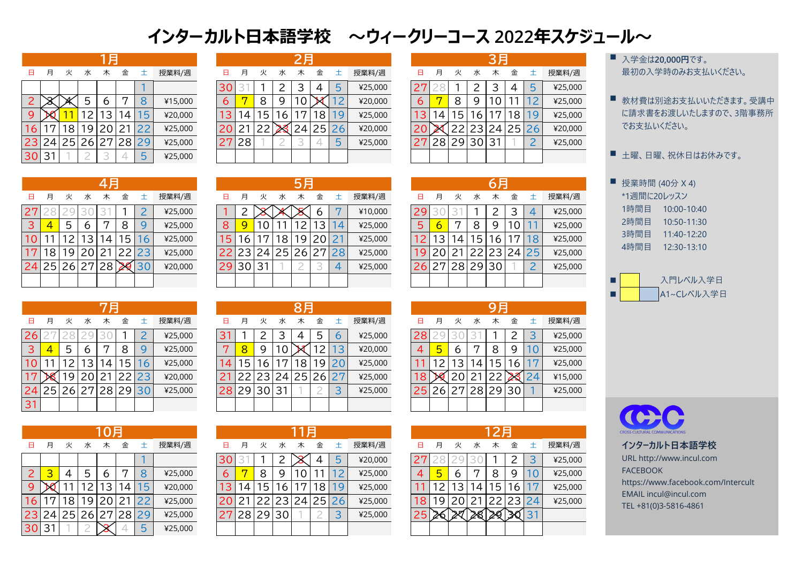|                 |    |    |                | 1 F |                |     |         |    |    |                 |   | 2月           |     |          |         |    |                |    |     | 3月              |       |    |         |
|-----------------|----|----|----------------|-----|----------------|-----|---------|----|----|-----------------|---|--------------|-----|----------|---------|----|----------------|----|-----|-----------------|-------|----|---------|
| 日               | 月  | 火  | 水              | 木   | 金              | 士   | 授業料/週   | 日  | 月  | 火               | 水 | 木            | 金   | 土        | 授業料/週   | 日  | 月              | 火  | 水   | 木               | 金     | 土  | 授業料/週   |
|                 |    |    |                |     |                |     |         | 30 |    |                 |   |              | 4   | 5        | ¥25,000 |    |                |    |     | 3               |       | 5  | ¥25,000 |
| $\mathsf{2}^+$  |    |    |                | 6   | ⇁              | O   | ¥15,000 | 6  |    | 8               | 9 | 10           |     | $\angle$ | ¥20,000 | 6  |                | 8  | Q   | l O             |       |    | ¥25,000 |
| 9               |    |    |                | 3   | $\overline{4}$ | - 后 | ¥20,000 |    |    | 15              | 6 |              | 8   | 19       | ¥25,000 | 3  | $\overline{4}$ | 5  | 6   |                 | 18    | 19 | ¥25,000 |
| 6               | 5  | 8  | $\overline{9}$ | 20  | 21             |     | ¥25,000 | 20 |    | 22 <sub>1</sub> |   | $24^{\circ}$ | 251 | 26       | ¥20,000 |    |                |    | 231 | 24 <sub>1</sub> | 25 26 |    | ¥20,000 |
| 23              | 24 | 25 | 26             | 27  | 28             | 29  | ¥25,000 | 27 | 28 |                 |   |              |     | 5        | ¥25,000 | 27 | 28             | 29 | 30  | 31              |       | ⌒  | ¥25,000 |
| 30 <sup>°</sup> | 31 |    |                |     |                | Б   | ¥25,000 |    |    |                 |   |              |     |          |         |    |                |    |     |                 |       |    |         |

|                |       |           |               | 月              |       |       |         |    |                 |   |     | 2月             |   |       |         |                 |   |                 |                 | 3月 |                 |         | 入学金は20,000円です。 |
|----------------|-------|-----------|---------------|----------------|-------|-------|---------|----|-----------------|---|-----|----------------|---|-------|---------|-----------------|---|-----------------|-----------------|----|-----------------|---------|----------------|
| $\Box$         | 月     |           | 水             | 木              | 金     |       | 授業料/週   |    | 月               | 火 |     | 木              | 金 |       | 授業料/週   | 日               | 月 | 火               | 水               | 木  | 金               | 授業料/週   | 最初の入学時のみお支払    |
|                |       |           |               |                |       |       |         | 30 |                 |   | ົ   | 3              | 4 | 5     | ¥25,000 |                 |   |                 |                 |    | 4               | ¥25,000 |                |
| $\overline{2}$ |       |           | <u>ل</u>      | h              |       |       | ¥15,000 |    |                 | 8 | Q.  | $\overline{0}$ |   |       | ¥20,000 | 6               |   | 8               |                 |    |                 | ¥25,000 | ■ 教材費は別途お支払いじ  |
| 9              |       |           | $\mathcal{D}$ | 3 <sub>1</sub> | , 4 I | 15    | ¥20,000 |    | $\vert 4 \vert$ | 5 | , 6 | $\overline{ }$ | 8 | 19    | ¥25,000 | 13 <sub>1</sub> | 4 | 15 <sub>1</sub> | 16 <sub>1</sub> |    | 18 <sup>1</sup> | ¥25,000 | に請求書をお渡しいたしま   |
| 6              |       | 8         | 9             | 20             |       |       | ¥25,000 |    |                 |   |     | 24             |   | 25 26 | ¥20,000 | 20              |   |                 |                 |    | 23 24 25 26     | ¥20,000 | でお支払いください。     |
|                | 23 24 | <b>25</b> | 26            | 27             |       | 28 29 | ¥25,000 |    | 28              |   |     |                |   | 5     | ¥25,000 | フワ              |   | 28 29 30 31     |                 |    |                 | ¥25,000 |                |
| 30 31          |       |           |               |                |       |       | ¥25,000 |    |                 |   |     |                |   |       |         |                 |   |                 |                 |    |                 |         | 土曜、日曜、祝休日はお    |

| A  | 月  | 火  | 水           | 木  | 金  | 土              | 授業料/週   |
|----|----|----|-------------|----|----|----------------|---------|
| 27 |    | 29 | ≺           | К  |    | $\overline{2}$ | ¥25,000 |
| 3  | 4  | 5  | 6           | 7  | 8  | 9              | ¥25,000 |
| 10 |    | 12 | 13          | 14 | 15 | 6              | ¥25,000 |
| 17 | 18 | 19 | 20          | 21 | 22 | 23             | ¥25,000 |
| 24 |    |    | 25 26 27 28 |    |    | 30             | ¥20,000 |
|    |    |    |             |    |    |                |         |

|  | ユール〜                  |
|--|-----------------------|
|  | 入学金は20,000円です。        |
|  | 最初の入学時のみお支払いください。     |
|  | 教材費は別途お支払いいただきます。受講中  |
|  | に請求書をお渡しいたしますので、3階事務所 |
|  | でお支払いください。            |
|  | 土曜、日曜、祝休日はお休みです。      |
|  | 授業時間 (40分 X 4)        |
|  | *1週間に20レッスン           |
|  | 1時間目<br>10:00-10:40   |
|  | 2時間目 10:50-11:30      |
|  | 3時間目 11:40-12:20      |
|  | 4時間目 12:30-13:10      |
|  |                       |
|  | 入門レベル入学日              |
|  | A1~Cレベル入学日            |



|                 |    |          |                |                 |       |           |         |     |       |       |    | 5月 |                |             |         |    |              |                |                 |   |    |             |         |      | 授業時間 (40分 X 4) |
|-----------------|----|----------|----------------|-----------------|-------|-----------|---------|-----|-------|-------|----|----|----------------|-------------|---------|----|--------------|----------------|-----------------|---|----|-------------|---------|------|----------------|
| 日月              |    | 火        | 水              | 木               | 金     | $\pm$     | 授業料/週   | 日   | 月     |       | 水  | 木  | 金              | $+$         | 授業料/週   | 日. | 月            | 火              | 水               | 木 | 金  | $\pm$       | 授業料/週   |      | *1週間に20レッスン    |
| 271             |    |          |                |                 |       |           | ¥25,000 |     |       |       |    |    | h              |             | ¥10,000 |    |              |                |                 |   |    |             | ¥25,000 | 1時間目 | $10:00 - 10$   |
| 3               | 4  | <u>ს</u> | 6              | 5               | 8     | Q         | ¥25,000 | 8   |       |       |    |    | 3 <sup>1</sup> | I 4         | ¥25,000 | 5. |              |                |                 | Q |    |             | ¥25,000 | 2時間目 | 10:50-11       |
| 10 <sup>°</sup> |    |          | 3 <sub>l</sub> | 14 <sub>1</sub> | 15 L  | <b>16</b> | ¥25,000 | 15  | 16    |       | 18 |    | 19 20 21       |             | ¥25,000 |    |              | $\overline{4}$ | 15 <sub>1</sub> | 6 | 17 |             | ¥25,000 | 3時間目 | 11:40-12       |
| 17 <sub>l</sub> | 18 | 19       | 20 21          |                 | 22 23 |           | ¥25,000 | 22  |       | 23 24 |    |    |                | 25 26 27 28 | ¥25,000 |    | 19   20   21 |                |                 |   |    | 22 23 24 25 | ¥25,000 | 4時間目 | 12:30-13       |
|                 |    |          | 24 25 26 27 28 |                 | 29 30 |           | ¥20,000 | 291 | 30 31 |       |    |    |                |             | ¥25,000 | 26 | 27           |                | 28 29 30        |   |    |             | ¥25,000 |      |                |
|                 |    |          |                |                 |       |           |         |     |       |       |    |    |                |             |         |    |              |                |                 |   |    |             |         |      | 入門レベル          |

| Ε  | 月                       | 火  | 水     | 木       | 金  | 土              | 授業料/週   |
|----|-------------------------|----|-------|---------|----|----------------|---------|
| 26 | 27                      | 28 | 29    | $\prec$ |    | $\overline{2}$ | ¥25,000 |
| 3  | $\overline{\mathbf{4}}$ | 5  | 6     |         | 8  | 9              | ¥25,000 |
| 10 |                         | 12 | 13    | 14      | 15 | 16             | ¥25,000 |
|    |                         | 19 | 20    | 21      | 22 | 23             | ¥20,000 |
| 24 | 25                      |    | 26 27 | 28      | 29 | 30             | ¥25,000 |
| 31 |                         |    |       |         |    |                |         |

|                 |    |    |    | 7 F            |      |   |         |              |    |    |                 | 8月             |       |    |         |     |              |    |       | 9月                |          |    |         |
|-----------------|----|----|----|----------------|------|---|---------|--------------|----|----|-----------------|----------------|-------|----|---------|-----|--------------|----|-------|-------------------|----------|----|---------|
| $\Box$          | 月  | 火  | 水  | 木              | 金    | 土 | 授業料/週   | 日            | 月  | 火  | 水               | 木              | 金     | 土  | 授業料/週   | 日   | 月            | 火  | 水     | 木                 | 金        | 土  | 授業料/週   |
| 26              |    |    |    |                |      |   | ¥25,000 | 3            |    |    | З               | $\overline{4}$ | 5     | 6  | ¥25,000 | 28. |              |    |       |                   |          | 3  | ¥25,000 |
| 3 <sup>1</sup>  | 4  | 5  | 6  |                | 8    |   | ¥25,000 | $\mathbf{r}$ |    | 9  |                 |                |       | 13 | ¥20,000 | 4   | $\mathbf{h}$ | 6  | ヮ     | 8                 | <b>Q</b> | 10 | ¥25,000 |
| 10 <sup>°</sup> |    |    | 3  | $\overline{4}$ | ڻ    | 6 | ¥25,000 | 14           | ြင | 6  |                 | 8              | 9     |    | ¥25,000 |     |              | 3  | 4     | 5                 | 6        | 17 | ¥25,000 |
| 17 <sup>°</sup> | ЪR | 19 |    |                |      |   | ¥20,000 | $2^{\cdot}$  |    |    | 24 <sub>1</sub> | 25             | 26 27 |    | ¥25,000 | 181 |              |    |       | $22 \overline{)}$ |          | 24 | ¥15,000 |
| 24              | 25 | 26 | 27 | 28             | 2930 |   | ¥25,000 | 28           | 29 | 30 | 31              |                |       |    | ¥25,000 | 251 | 26           | 27 | 28 29 |                   | 30       |    | ¥25,000 |
| 31              |    |    |    |                |      |   |         |              |    |    |                 |                |       |    |         |     |              |    |       |                   |          |    |         |

|                 |              |    |                 | 10月 |   |                |         |     |             |    |    | 月              |    |     |         |    |   |   |                | 12月 |       |       |         |
|-----------------|--------------|----|-----------------|-----|---|----------------|---------|-----|-------------|----|----|----------------|----|-----|---------|----|---|---|----------------|-----|-------|-------|---------|
| 日               | 月            | 火  | 水               | 木   | 金 | 土              | 授業料/週   | 日   | 月           | 火  |    | 木              | 金  | 土   | 授業料/週   | 日  | 月 | 火 | 水              | 木   | 金     | 土     | 授業料/週   |
|                 |              |    |                 |     |   |                |         | 30  |             |    | ▃  |                | 4  | 5   | ¥20,000 | 2  |   |   |                |     |       | 3     | ¥25,000 |
| $\mathsf{2}$    | ⌒            | 4  | 5               | 6   | ▱ | 8              | ¥25,000 | 6   |             | 8  | 9  | $\overline{O}$ |    |     | ¥25,000 | 4  | b | 6 | $\mathbf{r}$   | 8   | 9     | 10    | ¥25,000 |
| 9               |              |    |                 | 3   | 4 | $\overline{5}$ | ¥20,000 | 13. | 4           | 5  | 6  |                | 18 | 19. | ¥25,000 |    |   | 3 | $\overline{4}$ | 5   | 6     | 17    | ¥25,000 |
| 16              | 7            | 8  | 9               |     |   |                | ¥25,000 | 20  | $2^{\cdot}$ |    |    | 24             | 25 | 26  | ¥25,000 | 8  | Q |   |                | ာ   |       | 23 24 | ¥25,000 |
| 23              | $24^{\circ}$ | 25 | 26 <sub>1</sub> | 27  |   | 29 ز           | ¥25,000 | 27  | 28          | 29 | 30 |                |    |     | ¥25,000 | 25 |   |   |                |     | 30131 |       |         |
| 30 <sup>1</sup> | 31           |    |                 |     |   | 5              | ¥25,000 |     |             |    |    |                |    |     |         |    |   |   |                |     |       |       |         |
|                 |              |    |                 |     |   |                |         |     |             |    |    |                |    |     |         |    |   |   |                |     |       |       |         |

| ⊟  | 月  | 火  | 水  | 木                        | 金  | 土            | 授業料/週   |
|----|----|----|----|--------------------------|----|--------------|---------|
| 29 |    | К  |    | $\overline{\mathcal{L}}$ | 3  | 4            | ¥25,000 |
| 5  | 6  | 7  | 8  | 9                        | 10 |              | ¥25,000 |
| 12 | 13 | 14 | 15 | 16                       | 17 | 18           | ¥25,000 |
| 19 | 20 | 21 |    | 22 23                    | 24 | 25           | ¥25,000 |
| 26 | 27 | 28 | 29 | 30                       |    | $\mathcal P$ | ¥25,000 |
|    |    |    |    |                          |    |              |         |

|    |    |    |    | <b>9) El</b> |    |           |         |
|----|----|----|----|--------------|----|-----------|---------|
| Ħ  | 月  | 火  | 水  | 木            | 金  | 土         | 授業料/週   |
| 28 |    | 30 | К  |              | 2  | 3         | ¥25,000 |
|    | 5  | 6  |    | 8            | Ч  | $\bigcup$ | ¥25,000 |
|    | 12 | 13 | 14 | 15           | 16 | 17        | ¥25,000 |
| 18 |    | 20 | 21 | 22           |    | 24        | ¥15,000 |
| 25 | 26 | 27 | 28 | 29           | 30 |           | ¥25,000 |
|    |    |    |    |              |    |           |         |

|    |    |              |         | 12月          |    |          |         |
|----|----|--------------|---------|--------------|----|----------|---------|
| A  | 月  | 火            | 水       | 木            | 金  | $+$      | 授業料/週   |
| 27 |    |              | $\prec$ |              | 2  | 3        | ¥25,000 |
| 4  | 5  | 6            | 7       | 8            | g  | $\Omega$ | ¥25,000 |
| 11 | 12 | $ 13\rangle$ | 14      | 15           | 16 |          | ¥25,000 |
| 18 | 19 | 20           |         | 21   22   23 |    | 24       | ¥25,000 |
|    |    |              |         |              |    | 3        |         |
|    |    |              |         |              |    |          |         |

|                |    |    |    | 10月 |    |    |         |
|----------------|----|----|----|-----|----|----|---------|
| Β              | 月  | 火  | 水  | 木   | 金  | 土  | 授業料/週   |
|                |    |    |    |     |    |    |         |
| $\overline{2}$ | 3  | 4  | 5  | 6   | 7  | 8  | ¥25,000 |
| 9              |    |    | 12 | 13  | 14 | 5  | ¥20,000 |
| 16             |    | 18 | 19 | 20  | 21 | 22 | ¥25,000 |
| 23             | 24 | 25 | 26 | 127 | 28 | 29 | ¥25,000 |
|                |    |    |    |     |    |    | ¥25,000 |

## **インターカルト日本語学校 ~ウィークリーコース 2022年スケジュール~**

| H              | 月  | 火  | 水     | 木  | 金  | 土  | 授業料/週   |
|----------------|----|----|-------|----|----|----|---------|
|                |    |    |       |    |    |    |         |
| $\overline{2}$ |    | ø  | 5     | 6  | 7  | 8  | ¥15,000 |
| 9              |    |    | 12    | 13 | 14 | 15 | ¥20,000 |
| 16             |    | 18 | 19    | 20 | 21 | 22 | ¥25,000 |
| 23             | 24 | 25 | 26 27 |    | 28 | 29 | ¥25,000 |
|                |    |    |       | К  |    | 5  | ¥25,000 |

**インターカルト日本語学校** URL http://www.incul.com FACEBOOK https://www.facebook.com/Intercult EMAIL incul@incul.com TEL +81(0)3-5816-4861